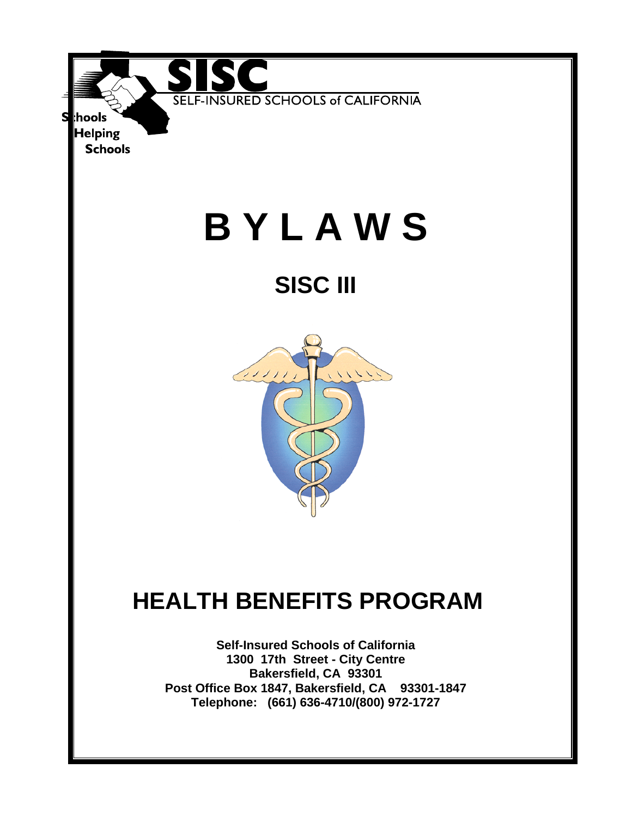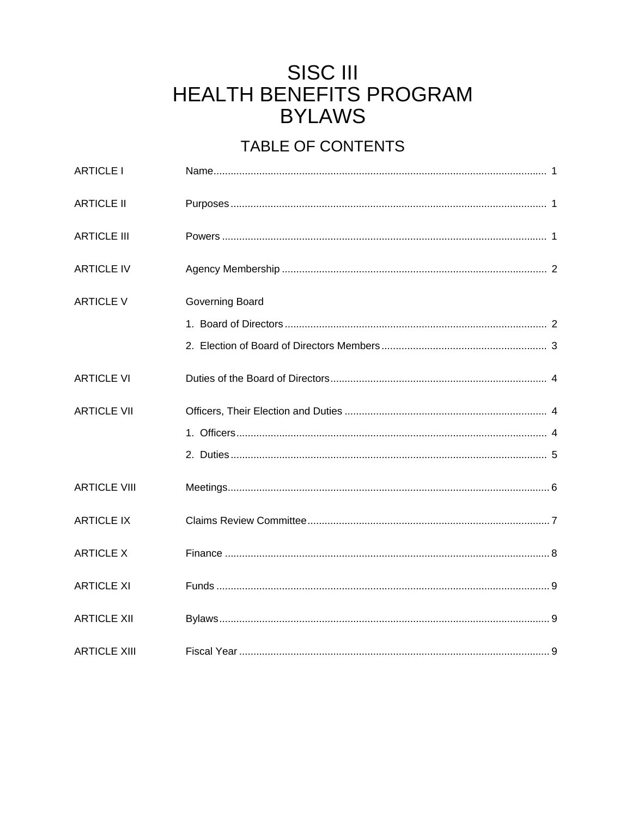# **SISC III** HEALTH BENEFITS PROGRAM **BYLAWS**

## TABLE OF CONTENTS

| <b>ARTICLE I</b>    |                 |  |
|---------------------|-----------------|--|
| <b>ARTICLE II</b>   |                 |  |
| <b>ARTICLE III</b>  |                 |  |
| <b>ARTICLE IV</b>   |                 |  |
| <b>ARTICLE V</b>    | Governing Board |  |
|                     |                 |  |
|                     |                 |  |
| <b>ARTICLE VI</b>   |                 |  |
| <b>ARTICLE VII</b>  |                 |  |
|                     |                 |  |
|                     |                 |  |
| <b>ARTICLE VIII</b> |                 |  |
| <b>ARTICLE IX</b>   |                 |  |
| <b>ARTICLE X</b>    |                 |  |
| <b>ARTICLE XI</b>   |                 |  |
| <b>ARTICLE XII</b>  |                 |  |
| <b>ARTICLE XIII</b> |                 |  |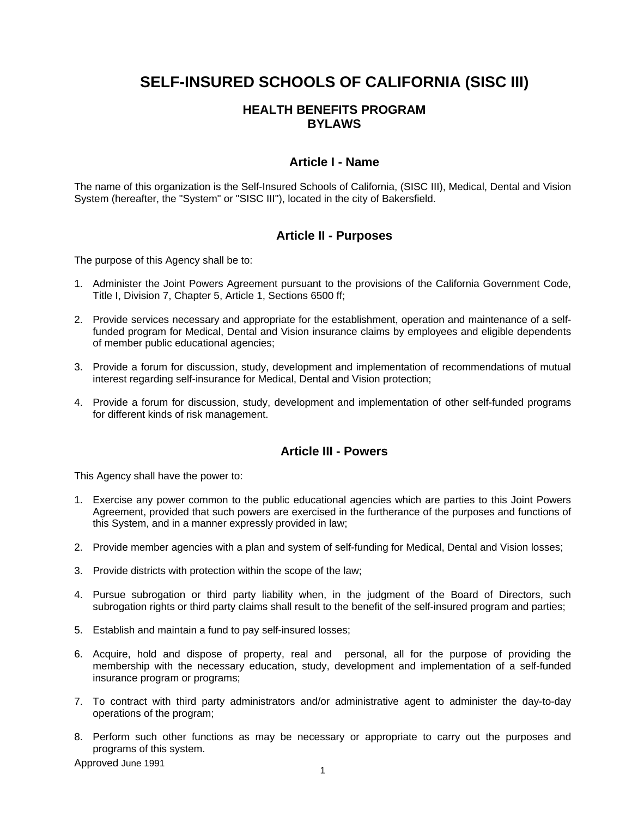## **SELF-INSURED SCHOOLS OF CALIFORNIA (SISC III)**

## **HEALTH BENEFITS PROGRAM BYLAWS**

#### **Article I - Name**

The name of this organization is the Self-Insured Schools of California, (SISC III), Medical, Dental and Vision System (hereafter, the "System" or "SISC III"), located in the city of Bakersfield.

#### **Article II - Purposes**

The purpose of this Agency shall be to:

- 1. Administer the Joint Powers Agreement pursuant to the provisions of the California Government Code, Title I, Division 7, Chapter 5, Article 1, Sections 6500 ff;
- 2. Provide services necessary and appropriate for the establishment, operation and maintenance of a selffunded program for Medical, Dental and Vision insurance claims by employees and eligible dependents of member public educational agencies;
- 3. Provide a forum for discussion, study, development and implementation of recommendations of mutual interest regarding self-insurance for Medical, Dental and Vision protection;
- 4. Provide a forum for discussion, study, development and implementation of other self-funded programs for different kinds of risk management.

#### **Article III - Powers**

This Agency shall have the power to:

- 1. Exercise any power common to the public educational agencies which are parties to this Joint Powers Agreement, provided that such powers are exercised in the furtherance of the purposes and functions of this System, and in a manner expressly provided in law;
- 2. Provide member agencies with a plan and system of self-funding for Medical, Dental and Vision losses;
- 3. Provide districts with protection within the scope of the law;
- 4. Pursue subrogation or third party liability when, in the judgment of the Board of Directors, such subrogation rights or third party claims shall result to the benefit of the self-insured program and parties;
- 5. Establish and maintain a fund to pay self-insured losses;
- 6. Acquire, hold and dispose of property, real and personal, all for the purpose of providing the membership with the necessary education, study, development and implementation of a self-funded insurance program or programs;
- 7. To contract with third party administrators and/or administrative agent to administer the day-to-day operations of the program;
- 8. Perform such other functions as may be necessary or appropriate to carry out the purposes and programs of this system.

Approved June 1991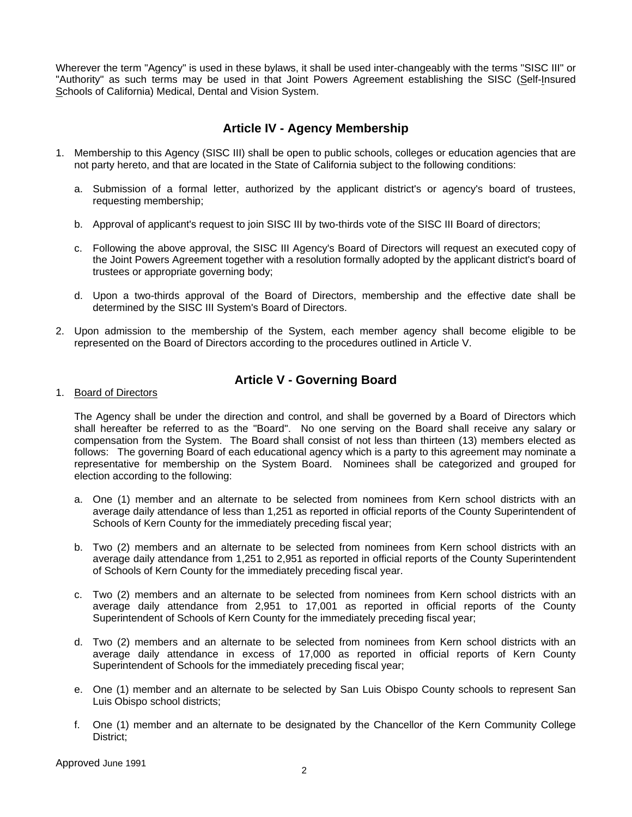Wherever the term "Agency" is used in these bylaws, it shall be used inter-changeably with the terms "SISC III" or "Authority" as such terms may be used in that Joint Powers Agreement establishing the SISC (Self-Insured Schools of California) Medical, Dental and Vision System.

#### **Article IV - Agency Membership**

- 1. Membership to this Agency (SISC III) shall be open to public schools, colleges or education agencies that are not party hereto, and that are located in the State of California subject to the following conditions:
	- a. Submission of a formal letter, authorized by the applicant district's or agency's board of trustees, requesting membership;
	- b. Approval of applicant's request to join SISC III by two-thirds vote of the SISC III Board of directors;
	- c. Following the above approval, the SISC III Agency's Board of Directors will request an executed copy of the Joint Powers Agreement together with a resolution formally adopted by the applicant district's board of trustees or appropriate governing body;
	- d. Upon a two-thirds approval of the Board of Directors, membership and the effective date shall be determined by the SISC III System's Board of Directors.
- 2. Upon admission to the membership of the System, each member agency shall become eligible to be represented on the Board of Directors according to the procedures outlined in Article V.

#### **Article V - Governing Board**

#### 1. Board of Directors

The Agency shall be under the direction and control, and shall be governed by a Board of Directors which shall hereafter be referred to as the "Board". No one serving on the Board shall receive any salary or compensation from the System. The Board shall consist of not less than thirteen (13) members elected as follows: The governing Board of each educational agency which is a party to this agreement may nominate a representative for membership on the System Board. Nominees shall be categorized and grouped for election according to the following:

- a. One (1) member and an alternate to be selected from nominees from Kern school districts with an average daily attendance of less than 1,251 as reported in official reports of the County Superintendent of Schools of Kern County for the immediately preceding fiscal year;
- b. Two (2) members and an alternate to be selected from nominees from Kern school districts with an average daily attendance from 1,251 to 2,951 as reported in official reports of the County Superintendent of Schools of Kern County for the immediately preceding fiscal year.
- c. Two (2) members and an alternate to be selected from nominees from Kern school districts with an average daily attendance from 2,951 to 17,001 as reported in official reports of the County Superintendent of Schools of Kern County for the immediately preceding fiscal year;
- d. Two (2) members and an alternate to be selected from nominees from Kern school districts with an average daily attendance in excess of 17,000 as reported in official reports of Kern County Superintendent of Schools for the immediately preceding fiscal year;
- e. One (1) member and an alternate to be selected by San Luis Obispo County schools to represent San Luis Obispo school districts;
- f. One (1) member and an alternate to be designated by the Chancellor of the Kern Community College District;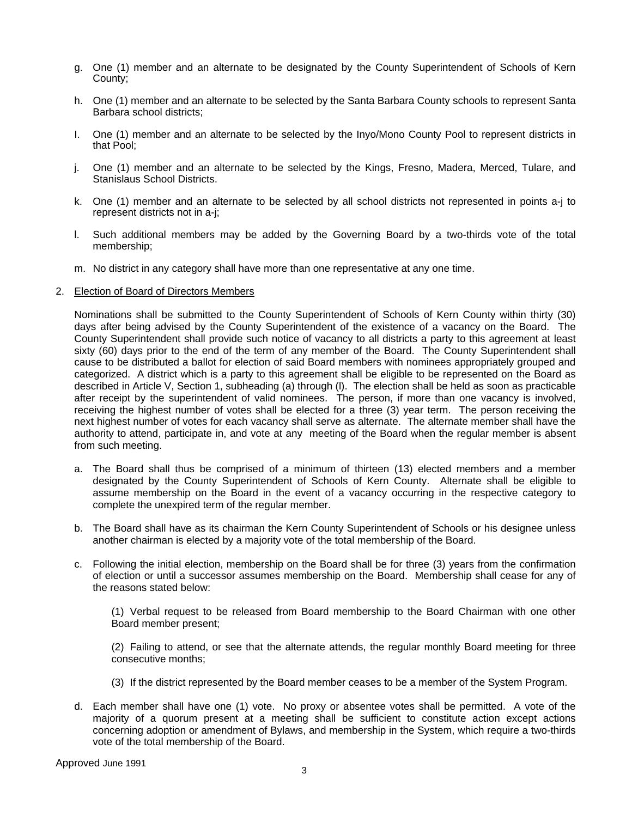- g. One (1) member and an alternate to be designated by the County Superintendent of Schools of Kern County;
- h. One (1) member and an alternate to be selected by the Santa Barbara County schools to represent Santa Barbara school districts;
- I. One (1) member and an alternate to be selected by the Inyo/Mono County Pool to represent districts in that Pool;
- j. One (1) member and an alternate to be selected by the Kings, Fresno, Madera, Merced, Tulare, and Stanislaus School Districts.
- k. One (1) member and an alternate to be selected by all school districts not represented in points a-j to represent districts not in a-j;
- l. Such additional members may be added by the Governing Board by a two-thirds vote of the total membership;
- m. No district in any category shall have more than one representative at any one time.

#### 2. Election of Board of Directors Members

Nominations shall be submitted to the County Superintendent of Schools of Kern County within thirty (30) days after being advised by the County Superintendent of the existence of a vacancy on the Board. The County Superintendent shall provide such notice of vacancy to all districts a party to this agreement at least sixty (60) days prior to the end of the term of any member of the Board. The County Superintendent shall cause to be distributed a ballot for election of said Board members with nominees appropriately grouped and categorized. A district which is a party to this agreement shall be eligible to be represented on the Board as described in Article V, Section 1, subheading (a) through (l). The election shall be held as soon as practicable after receipt by the superintendent of valid nominees. The person, if more than one vacancy is involved, receiving the highest number of votes shall be elected for a three (3) year term. The person receiving the next highest number of votes for each vacancy shall serve as alternate. The alternate member shall have the authority to attend, participate in, and vote at any meeting of the Board when the regular member is absent from such meeting.

- a. The Board shall thus be comprised of a minimum of thirteen (13) elected members and a member designated by the County Superintendent of Schools of Kern County. Alternate shall be eligible to assume membership on the Board in the event of a vacancy occurring in the respective category to complete the unexpired term of the regular member.
- b. The Board shall have as its chairman the Kern County Superintendent of Schools or his designee unless another chairman is elected by a majority vote of the total membership of the Board.
- c. Following the initial election, membership on the Board shall be for three (3) years from the confirmation of election or until a successor assumes membership on the Board. Membership shall cease for any of the reasons stated below:

 (1) Verbal request to be released from Board membership to the Board Chairman with one other Board member present;

 (2) Failing to attend, or see that the alternate attends, the regular monthly Board meeting for three consecutive months;

- (3) If the district represented by the Board member ceases to be a member of the System Program.
- d. Each member shall have one (1) vote. No proxy or absentee votes shall be permitted. A vote of the majority of a quorum present at a meeting shall be sufficient to constitute action except actions concerning adoption or amendment of Bylaws, and membership in the System, which require a two-thirds vote of the total membership of the Board.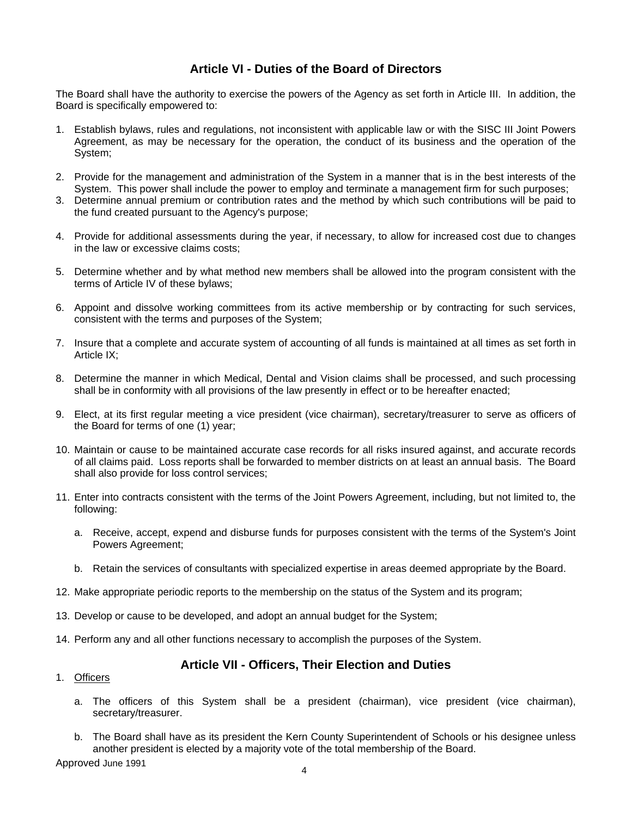## **Article VI - Duties of the Board of Directors**

The Board shall have the authority to exercise the powers of the Agency as set forth in Article III. In addition, the Board is specifically empowered to:

- 1. Establish bylaws, rules and regulations, not inconsistent with applicable law or with the SISC III Joint Powers Agreement, as may be necessary for the operation, the conduct of its business and the operation of the System;
- 2. Provide for the management and administration of the System in a manner that is in the best interests of the System. This power shall include the power to employ and terminate a management firm for such purposes;
- 3. Determine annual premium or contribution rates and the method by which such contributions will be paid to the fund created pursuant to the Agency's purpose;
- 4. Provide for additional assessments during the year, if necessary, to allow for increased cost due to changes in the law or excessive claims costs;
- 5. Determine whether and by what method new members shall be allowed into the program consistent with the terms of Article IV of these bylaws;
- 6. Appoint and dissolve working committees from its active membership or by contracting for such services, consistent with the terms and purposes of the System;
- 7. Insure that a complete and accurate system of accounting of all funds is maintained at all times as set forth in Article IX<sup>-</sup>
- 8. Determine the manner in which Medical, Dental and Vision claims shall be processed, and such processing shall be in conformity with all provisions of the law presently in effect or to be hereafter enacted;
- 9. Elect, at its first regular meeting a vice president (vice chairman), secretary/treasurer to serve as officers of the Board for terms of one (1) year;
- 10. Maintain or cause to be maintained accurate case records for all risks insured against, and accurate records of all claims paid. Loss reports shall be forwarded to member districts on at least an annual basis. The Board shall also provide for loss control services;
- 11. Enter into contracts consistent with the terms of the Joint Powers Agreement, including, but not limited to, the following:
	- a. Receive, accept, expend and disburse funds for purposes consistent with the terms of the System's Joint Powers Agreement;
	- b. Retain the services of consultants with specialized expertise in areas deemed appropriate by the Board.
- 12. Make appropriate periodic reports to the membership on the status of the System and its program;
- 13. Develop or cause to be developed, and adopt an annual budget for the System;
- 14. Perform any and all other functions necessary to accomplish the purposes of the System.

#### **Article VII - Officers, Their Election and Duties**

- 1. Officers
	- a. The officers of this System shall be a president (chairman), vice president (vice chairman), secretary/treasurer.
	- b. The Board shall have as its president the Kern County Superintendent of Schools or his designee unless another president is elected by a majority vote of the total membership of the Board.

Approved June 1991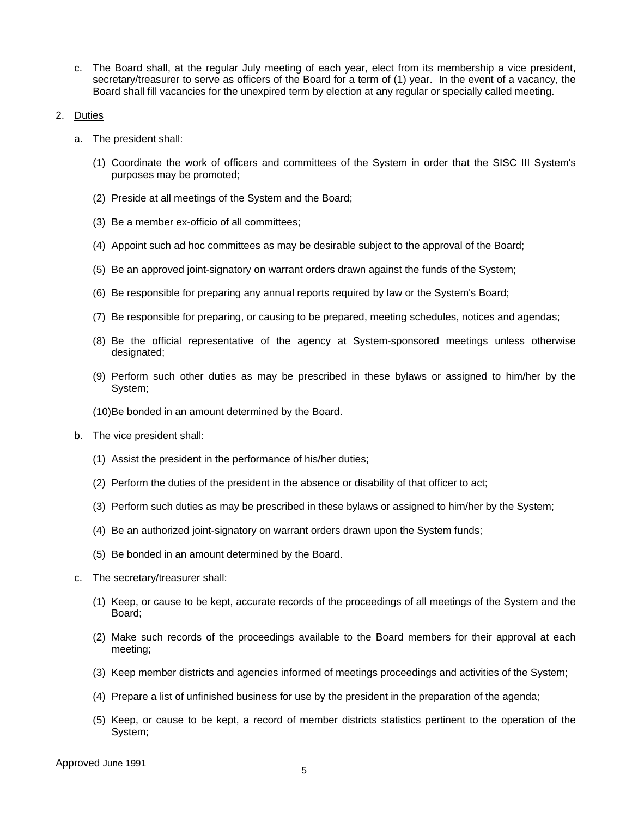- c. The Board shall, at the regular July meeting of each year, elect from its membership a vice president, secretary/treasurer to serve as officers of the Board for a term of (1) year. In the event of a vacancy, the Board shall fill vacancies for the unexpired term by election at any regular or specially called meeting.
- 2. Duties
	- a. The president shall:
		- (1) Coordinate the work of officers and committees of the System in order that the SISC III System's purposes may be promoted;
		- (2) Preside at all meetings of the System and the Board;
		- (3) Be a member ex-officio of all committees;
		- (4) Appoint such ad hoc committees as may be desirable subject to the approval of the Board;
		- (5) Be an approved joint-signatory on warrant orders drawn against the funds of the System;
		- (6) Be responsible for preparing any annual reports required by law or the System's Board;
		- (7) Be responsible for preparing, or causing to be prepared, meeting schedules, notices and agendas;
		- (8) Be the official representative of the agency at System-sponsored meetings unless otherwise designated;
		- (9) Perform such other duties as may be prescribed in these bylaws or assigned to him/her by the System;
		- (10) Be bonded in an amount determined by the Board.
	- b. The vice president shall:
		- (1) Assist the president in the performance of his/her duties;
		- (2) Perform the duties of the president in the absence or disability of that officer to act;
		- (3) Perform such duties as may be prescribed in these bylaws or assigned to him/her by the System;
		- (4) Be an authorized joint-signatory on warrant orders drawn upon the System funds;
		- (5) Be bonded in an amount determined by the Board.
	- c. The secretary/treasurer shall:
		- (1) Keep, or cause to be kept, accurate records of the proceedings of all meetings of the System and the Board;
		- (2) Make such records of the proceedings available to the Board members for their approval at each meeting;
		- (3) Keep member districts and agencies informed of meetings proceedings and activities of the System;
		- (4) Prepare a list of unfinished business for use by the president in the preparation of the agenda;
		- (5) Keep, or cause to be kept, a record of member districts statistics pertinent to the operation of the System;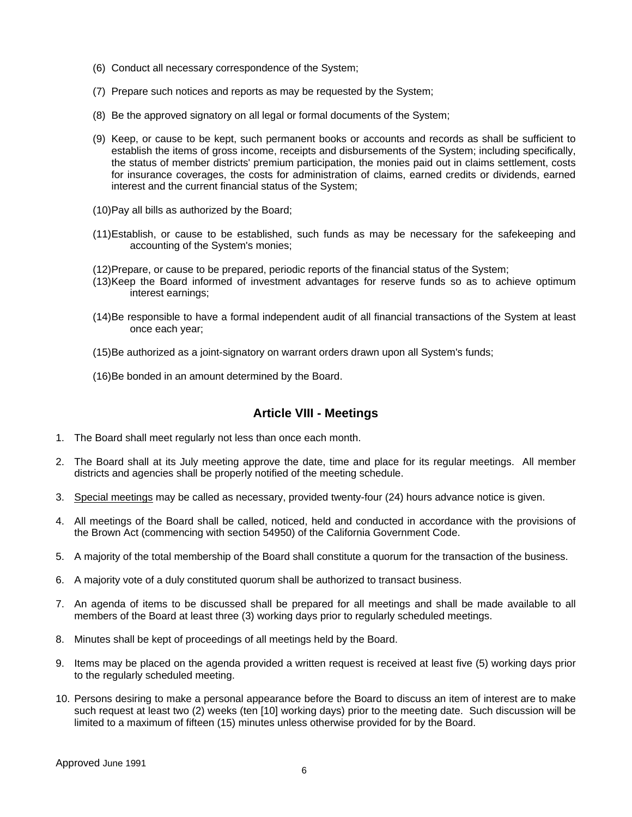- (6) Conduct all necessary correspondence of the System;
- (7) Prepare such notices and reports as may be requested by the System;
- (8) Be the approved signatory on all legal or formal documents of the System;
- (9) Keep, or cause to be kept, such permanent books or accounts and records as shall be sufficient to establish the items of gross income, receipts and disbursements of the System; including specifically, the status of member districts' premium participation, the monies paid out in claims settlement, costs for insurance coverages, the costs for administration of claims, earned credits or dividends, earned interest and the current financial status of the System;
- (10) Pay all bills as authorized by the Board;
- (11) Establish, or cause to be established, such funds as may be necessary for the safekeeping and accounting of the System's monies;
- (12) Prepare, or cause to be prepared, periodic reports of the financial status of the System;
- (13) Keep the Board informed of investment advantages for reserve funds so as to achieve optimum interest earnings;
- (14) Be responsible to have a formal independent audit of all financial transactions of the System at least once each year;
- (15) Be authorized as a joint-signatory on warrant orders drawn upon all System's funds;
- (16) Be bonded in an amount determined by the Board.

## **Article VIII - Meetings**

- 1. The Board shall meet regularly not less than once each month.
- 2. The Board shall at its July meeting approve the date, time and place for its regular meetings. All member districts and agencies shall be properly notified of the meeting schedule.
- 3. Special meetings may be called as necessary, provided twenty-four (24) hours advance notice is given.
- 4. All meetings of the Board shall be called, noticed, held and conducted in accordance with the provisions of the Brown Act (commencing with section 54950) of the California Government Code.
- 5. A majority of the total membership of the Board shall constitute a quorum for the transaction of the business.
- 6. A majority vote of a duly constituted quorum shall be authorized to transact business.
- 7. An agenda of items to be discussed shall be prepared for all meetings and shall be made available to all members of the Board at least three (3) working days prior to regularly scheduled meetings.
- 8. Minutes shall be kept of proceedings of all meetings held by the Board.
- 9. Items may be placed on the agenda provided a written request is received at least five (5) working days prior to the regularly scheduled meeting.
- 10. Persons desiring to make a personal appearance before the Board to discuss an item of interest are to make such request at least two (2) weeks (ten [10] working days) prior to the meeting date. Such discussion will be limited to a maximum of fifteen (15) minutes unless otherwise provided for by the Board.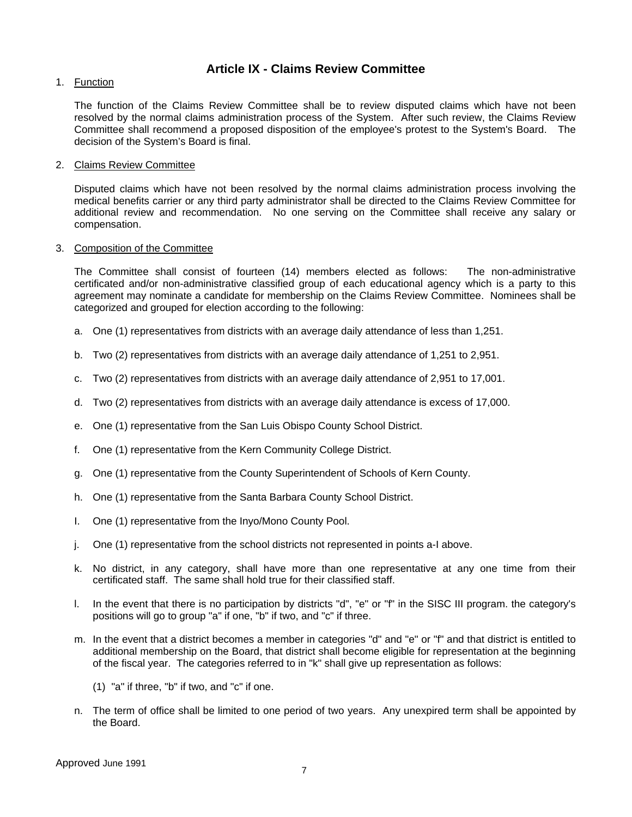#### **Article IX - Claims Review Committee**

1. Function

The function of the Claims Review Committee shall be to review disputed claims which have not been resolved by the normal claims administration process of the System. After such review, the Claims Review Committee shall recommend a proposed disposition of the employee's protest to the System's Board. The decision of the System's Board is final.

2. Claims Review Committee

Disputed claims which have not been resolved by the normal claims administration process involving the medical benefits carrier or any third party administrator shall be directed to the Claims Review Committee for additional review and recommendation. No one serving on the Committee shall receive any salary or compensation.

#### 3. Composition of the Committee

The Committee shall consist of fourteen (14) members elected as follows: The non-administrative certificated and/or non-administrative classified group of each educational agency which is a party to this agreement may nominate a candidate for membership on the Claims Review Committee. Nominees shall be categorized and grouped for election according to the following:

- a. One (1) representatives from districts with an average daily attendance of less than 1,251.
- b. Two (2) representatives from districts with an average daily attendance of 1,251 to 2,951.
- c. Two (2) representatives from districts with an average daily attendance of 2,951 to 17,001.
- d. Two (2) representatives from districts with an average daily attendance is excess of 17,000.
- e. One (1) representative from the San Luis Obispo County School District.
- f. One (1) representative from the Kern Community College District.
- g. One (1) representative from the County Superintendent of Schools of Kern County.
- h. One (1) representative from the Santa Barbara County School District.
- I. One (1) representative from the Inyo/Mono County Pool.
- j. One (1) representative from the school districts not represented in points a-I above.
- k. No district, in any category, shall have more than one representative at any one time from their certificated staff. The same shall hold true for their classified staff.
- l. In the event that there is no participation by districts "d", "e" or "f" in the SISC III program. the category's positions will go to group "a" if one, "b" if two, and "c" if three.
- m. In the event that a district becomes a member in categories "d" and "e" or "f" and that district is entitled to additional membership on the Board, that district shall become eligible for representation at the beginning of the fiscal year. The categories referred to in "k" shall give up representation as follows:
	- (1) "a" if three, "b" if two, and "c" if one.
- n. The term of office shall be limited to one period of two years. Any unexpired term shall be appointed by the Board.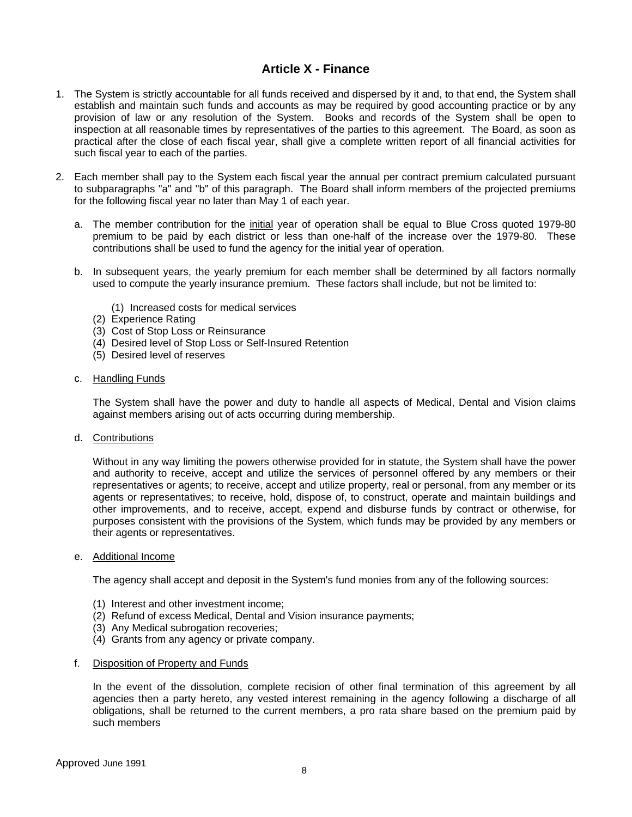#### **Article X - Finance**

- 1. The System is strictly accountable for all funds received and dispersed by it and, to that end, the System shall establish and maintain such funds and accounts as may be required by good accounting practice or by any provision of law or any resolution of the System. Books and records of the System shall be open to inspection at all reasonable times by representatives of the parties to this agreement. The Board, as soon as practical after the close of each fiscal year, shall give a complete written report of all financial activities for such fiscal year to each of the parties.
- 2. Each member shall pay to the System each fiscal year the annual per contract premium calculated pursuant to subparagraphs "a" and "b" of this paragraph. The Board shall inform members of the projected premiums for the following fiscal year no later than May 1 of each year.
	- a. The member contribution for the initial year of operation shall be equal to Blue Cross quoted 1979-80 premium to be paid by each district or less than one-half of the increase over the 1979-80. These contributions shall be used to fund the agency for the initial year of operation.
	- b. In subsequent years, the yearly premium for each member shall be determined by all factors normally used to compute the yearly insurance premium. These factors shall include, but not be limited to:

(1) Increased costs for medical services

- (2) Experience Rating
- (3) Cost of Stop Loss or Reinsurance
- (4) Desired level of Stop Loss or Self-Insured Retention
- (5) Desired level of reserves
- c. Handling Funds

The System shall have the power and duty to handle all aspects of Medical, Dental and Vision claims against members arising out of acts occurring during membership.

d. Contributions

Without in any way limiting the powers otherwise provided for in statute, the System shall have the power and authority to receive, accept and utilize the services of personnel offered by any members or their representatives or agents; to receive, accept and utilize property, real or personal, from any member or its agents or representatives; to receive, hold, dispose of, to construct, operate and maintain buildings and other improvements, and to receive, accept, expend and disburse funds by contract or otherwise, for purposes consistent with the provisions of the System, which funds may be provided by any members or their agents or representatives.

e. Additional Income

The agency shall accept and deposit in the System's fund monies from any of the following sources:

- (1) Interest and other investment income;
- (2) Refund of excess Medical, Dental and Vision insurance payments;
- (3) Any Medical subrogation recoveries;
- (4) Grants from any agency or private company.
- f. Disposition of Property and Funds

In the event of the dissolution, complete recision of other final termination of this agreement by all agencies then a party hereto, any vested interest remaining in the agency following a discharge of all obligations, shall be returned to the current members, a pro rata share based on the premium paid by such members